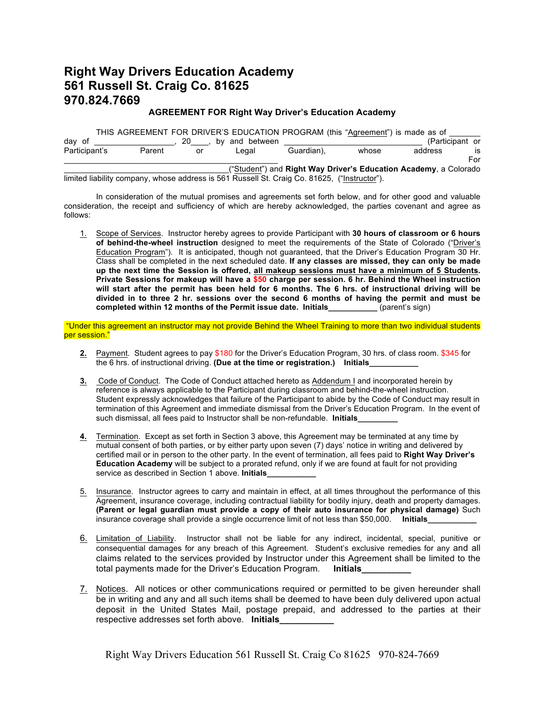## **Right Way Drivers Education Academy 561 Russell St. Craig Co. 81625 970.824.7669**

## **AGREEMENT FOR Right Way Driver's Education Academy**

|               |        |    |    |             |                                                                                              | THIS AGREEMENT FOR DRIVER'S EDUCATION PROGRAM (this "Agreement") is made as of |                 |     |
|---------------|--------|----|----|-------------|----------------------------------------------------------------------------------------------|--------------------------------------------------------------------------------|-----------------|-----|
| day of        |        | 20 | bv | and between |                                                                                              |                                                                                | (Participant or |     |
| Participant's | Parent |    | or | Legal       | Guardian).                                                                                   | whose                                                                          | address         | is  |
|               |        |    |    |             |                                                                                              |                                                                                |                 | For |
|               |        |    |    |             |                                                                                              | ("Student") and Right Way Driver's Education Academy, a Colorado               |                 |     |
|               |        |    |    |             | limited liability company, whose address is 561 Russell St. Craig Co. 81625, ("Instructor"). |                                                                                |                 |     |

In consideration of the mutual promises and agreements set forth below, and for other good and valuable consideration, the receipt and sufficiency of which are hereby acknowledged, the parties covenant and agree as follows:

1. Scope of Services. Instructor hereby agrees to provide Participant with **30 hours of classroom or 6 hours of behind-the-wheel instruction** designed to meet the requirements of the State of Colorado ("Driver's Education Program"). It is anticipated, though not guaranteed, that the Driver's Education Program 30 Hr. Class shall be completed in the next scheduled date. **If any classes are missed, they can only be made up the next time the Session is offered, all makeup sessions must have a minimum of 5 Students. Private Sessions for makeup will have a \$50 charge per session. 6 hr. Behind the Wheel instruction will start after the permit has been held for 6 months. The 6 hrs. of instructional driving will be divided in to three 2 hr. sessions over the second 6 months of having the permit and must be completed within 12 months of the Permit issue date. Initials\_\_\_\_\_\_\_\_\_\_\_** (parent's sign)

"Under this agreement an instructor may not provide Behind the Wheel Training to more than two individual students per session."

- **2.** Payment. Student agrees to pay \$180 for the Driver's Education Program, 30 hrs. of class room. \$345 for the 6 hrs. of instructional driving. **(Due at the time or registration.) Initials\_\_\_\_\_\_\_\_\_\_\_**
- **3.** Code of Conduct. The Code of Conduct attached hereto as Addendum I and incorporated herein by reference is always applicable to the Participant during classroom and behind-the-wheel instruction. Student expressly acknowledges that failure of the Participant to abide by the Code of Conduct may result in termination of this Agreement and immediate dismissal from the Driver's Education Program. In the event of such dismissal, all fees paid to Instructor shall be non-refundable. **Initials\_\_\_\_\_\_\_\_\_**
- **4.** Termination. Except as set forth in Section 3 above, this Agreement may be terminated at any time by mutual consent of both parties, or by either party upon seven (7) days' notice in writing and delivered by certified mail or in person to the other party. In the event of termination, all fees paid to **Right Way Driver's Education Academy** will be subject to a prorated refund, only if we are found at fault for not providing service as described in Section 1 above. **Initials**
- 5. Insurance. Instructor agrees to carry and maintain in effect, at all times throughout the performance of this Agreement, insurance coverage, including contractual liability for bodily injury, death and property damages. **(Parent or legal guardian must provide a copy of their auto insurance for physical damage)** Such insurance coverage shall provide a single occurrence limit of not less than \$50,000. **Initials**
- 6. Limitation of Liability. Instructor shall not be liable for any indirect, incidental, special, punitive or consequential damages for any breach of this Agreement. Student's exclusive remedies for any and all claims related to the services provided by Instructor under this Agreement shall be limited to the total payments made for the Driver's Education Program. **Initials**
- 7. Notices. All notices or other communications required or permitted to be given hereunder shall be in writing and any and all such items shall be deemed to have been duly delivered upon actual deposit in the United States Mail, postage prepaid, and addressed to the parties at their respective addresses set forth above. **Initials**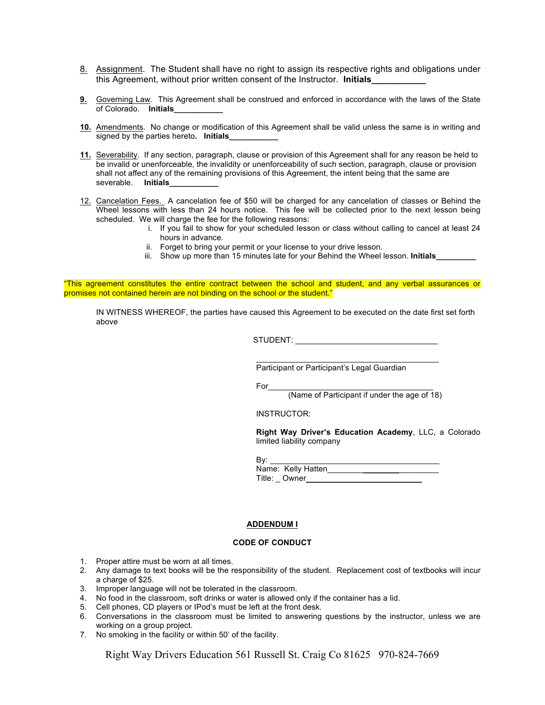- 8. Assignment. The Student shall have no right to assign its respective rights and obligations under this Agreement, without prior written consent of the Instructor. **Initials**
- **9.** Governing Law. This Agreement shall be construed and enforced in accordance with the laws of the State of Colorado. **Initials\_\_\_\_\_\_\_\_\_\_\_**
- **10.** Amendments. No change or modification of this Agreement shall be valid unless the same is in writing and signed by the parties hereto. Initials
- **11.** Severability. If any section, paragraph, clause or provision of this Agreement shall for any reason be held to be invalid or unenforceable, the invalidity or unenforceability of such section, paragraph, clause or provision shall not affect any of the remaining provisions of this Agreement, the intent being that the same are severable. **Initials**
- 12. Cancelation Fees. A cancelation fee of \$50 will be charged for any cancelation of classes or Behind the Wheel lessons with less than 24 hours notice. This fee will be collected prior to the next lesson being scheduled. We will charge the fee for the following reasons:
	- i. If you fail to show for your scheduled lesson or class without calling to cancel at least 24 hours in advance.
	- ii. Forget to bring your permit or your license to your drive lesson.
	- iii. Show up more than 15 minutes late for your Behind the Wheel lesson. **Initials**

"This agreement constitutes the entire contract between the school and student, and any verbal assurances or promises not contained herein are not binding on the school or the student."

IN WITNESS WHEREOF, the parties have caused this Agreement to be executed on the date first set forth above

STUDENT:

 $\mathcal{L}_\mathcal{L} = \mathcal{L}_\mathcal{L} = \mathcal{L}_\mathcal{L} = \mathcal{L}_\mathcal{L} = \mathcal{L}_\mathcal{L} = \mathcal{L}_\mathcal{L} = \mathcal{L}_\mathcal{L} = \mathcal{L}_\mathcal{L} = \mathcal{L}_\mathcal{L} = \mathcal{L}_\mathcal{L} = \mathcal{L}_\mathcal{L} = \mathcal{L}_\mathcal{L} = \mathcal{L}_\mathcal{L} = \mathcal{L}_\mathcal{L} = \mathcal{L}_\mathcal{L} = \mathcal{L}_\mathcal{L} = \mathcal{L}_\mathcal{L}$ 

Participant or Participant's Legal Guardian

For\_\_\_\_\_\_\_\_\_\_\_\_\_\_\_\_\_\_\_\_\_\_\_\_\_\_\_\_\_\_\_\_\_\_\_\_\_

(Name of Participant if under the age of 18)

INSTRUCTOR:

**Right Way Driver's Education Academy**, LLC, a Colorado limited liability company

| By: |                    |  |
|-----|--------------------|--|
|     | Name: Kelly Hatten |  |
|     | Title: Owner       |  |

## **ADDENDUM I**

## **CODE OF CONDUCT**

- 1. Proper attire must be worn at all times.
- 2. Any damage to text books will be the responsibility of the student. Replacement cost of textbooks will incur a charge of \$25.
- 3. Improper language will not be tolerated in the classroom.
- 4. No food in the classroom, soft drinks or water is allowed only if the container has a lid.
- 5. Cell phones, CD players or IPod's must be left at the front desk.
- 6. Conversations in the classroom must be limited to answering questions by the instructor, unless we are working on a group project.
- 7. No smoking in the facility or within 50' of the facility.

Right Way Drivers Education 561 Russell St. Craig Co 81625 970-824-7669